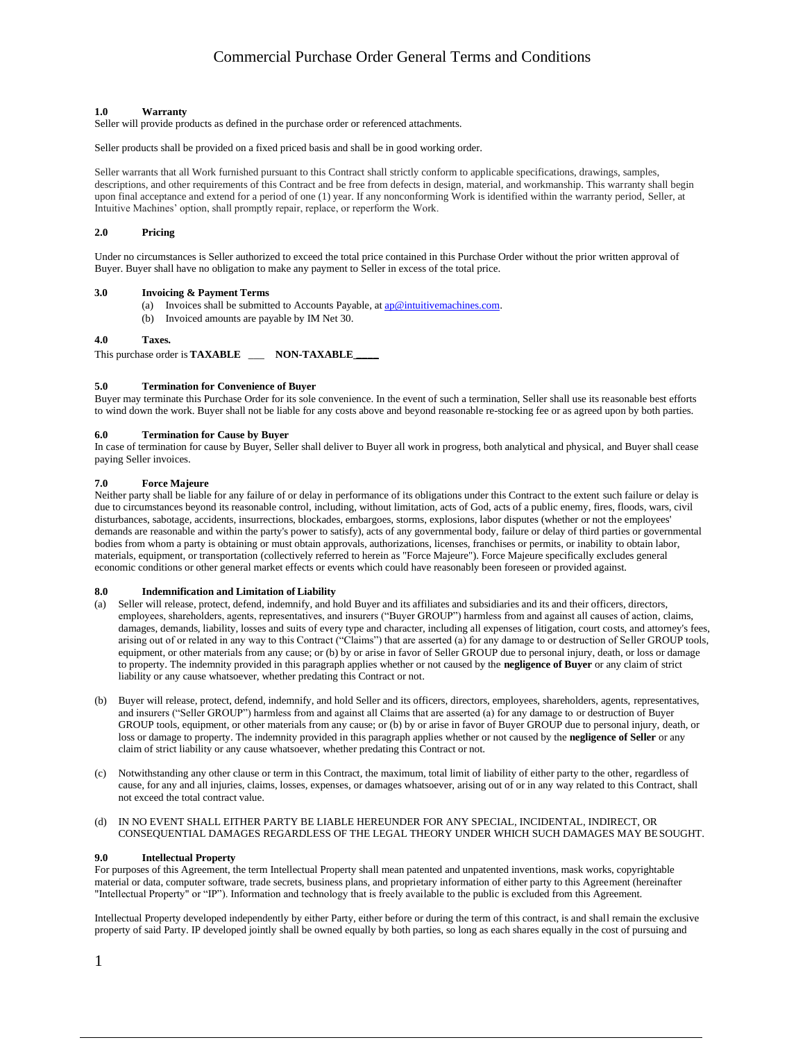#### **1.0 Warranty**

Seller will provide products as defined in the purchase order or referenced attachments.

Seller products shall be provided on a fixed priced basis and shall be in good working order.

Seller warrants that all Work furnished pursuant to this Contract shall strictly conform to applicable specifications, drawings, samples, descriptions, and other requirements of this Contract and be free from defects in design, material, and workmanship. This warranty shall begin upon final acceptance and extend for a period of one (1) year. If any nonconforming Work is identified within the warranty period, Seller, at Intuitive Machines' option, shall promptly repair, replace, or reperform the Work.

# **2.0 Pricing**

Under no circumstances is Seller authorized to exceed the total price contained in this Purchase Order without the prior written approval of Buyer. Buyer shall have no obligation to make any payment to Seller in excess of the total price.

# **3.0 Invoicing & Payment Terms**

- (a) Invoices shall be submitted to Accounts Payable, at  $\frac{ap \circled Rintuitivemachines.com}{ab}$ .
- (b) Invoiced amounts are payable by IM Net 30.

#### **4.0 Taxes.**

This purchase order is **TAXABLE** \_\_\_ **NON-TAXABLE \_\_\_\_**

### **5.0 Termination for Convenience of Buyer**

Buyer may terminate this Purchase Order for its sole convenience. In the event of such a termination, Seller shall use its reasonable best efforts to wind down the work. Buyer shall not be liable for any costs above and beyond reasonable re-stocking fee or as agreed upon by both parties.

#### **6.0 Termination for Cause by Buyer**

In case of termination for cause by Buyer, Seller shall deliver to Buyer all work in progress, both analytical and physical, and Buyer shall cease paying Seller invoices.

# **7.0 Force Majeure**

Neither party shall be liable for any failure of or delay in performance of its obligations under this Contract to the extent such failure or delay is due to circumstances beyond its reasonable control, including, without limitation, acts of God, acts of a public enemy, fires, floods, wars, civil disturbances, sabotage, accidents, insurrections, blockades, embargoes, storms, explosions, labor disputes (whether or not the employees' demands are reasonable and within the party's power to satisfy), acts of any governmental body, failure or delay of third parties or governmental bodies from whom a party is obtaining or must obtain approvals, authorizations, licenses, franchises or permits, or inability to obtain labor, materials, equipment, or transportation (collectively referred to herein as "Force Majeure"). Force Majeure specifically excludes general economic conditions or other general market effects or events which could have reasonably been foreseen or provided against.

#### **8.0 Indemnification and Limitation of Liability**

- (a) Seller will release, protect, defend, indemnify, and hold Buyer and its affiliates and subsidiaries and its and their officers, directors, employees, shareholders, agents, representatives, and insurers ("Buyer GROUP") harmless from and against all causes of action, claims, damages, demands, liability, losses and suits of every type and character, including all expenses of litigation, court costs, and attorney's fees, arising out of or related in any way to this Contract ("Claims") that are asserted (a) for any damage to or destruction of Seller GROUP tools, equipment, or other materials from any cause; or (b) by or arise in favor of Seller GROUP due to personal injury, death, or loss or damage to property. The indemnity provided in this paragraph applies whether or not caused by the **negligence of Buyer** or any claim of strict liability or any cause whatsoever, whether predating this Contract or not.
- (b) Buyer will release, protect, defend, indemnify, and hold Seller and its officers, directors, employees, shareholders, agents, representatives, and insurers ("Seller GROUP") harmless from and against all Claims that are asserted (a) for any damage to or destruction of Buyer GROUP tools, equipment, or other materials from any cause; or (b) by or arise in favor of Buyer GROUP due to personal injury, death, or loss or damage to property. The indemnity provided in this paragraph applies whether or not caused by the **negligence of Seller** or any claim of strict liability or any cause whatsoever, whether predating this Contract or not.
- (c) Notwithstanding any other clause or term in this Contract, the maximum, total limit of liability of either party to the other, regardless of cause, for any and all injuries, claims, losses, expenses, or damages whatsoever, arising out of or in any way related to this Contract, shall not exceed the total contract value.
- (d) IN NO EVENT SHALL EITHER PARTY BE LIABLE HEREUNDER FOR ANY SPECIAL, INCIDENTAL, INDIRECT, OR CONSEQUENTIAL DAMAGES REGARDLESS OF THE LEGAL THEORY UNDER WHICH SUCH DAMAGES MAY BESOUGHT.

#### **9.0 Intellectual Property**

For purposes of this Agreement, the term Intellectual Property shall mean patented and unpatented inventions, mask works, copyrightable material or data, computer software, trade secrets, business plans, and proprietary information of either party to this Agreement (hereinafter "Intellectual Property" or "IP"). Information and technology that is freely available to the public is excluded from this Agreement.

Intellectual Property developed independently by either Party, either before or during the term of this contract, is and shall remain the exclusive property of said Party. IP developed jointly shall be owned equally by both parties, so long as each shares equally in the cost of pursuing and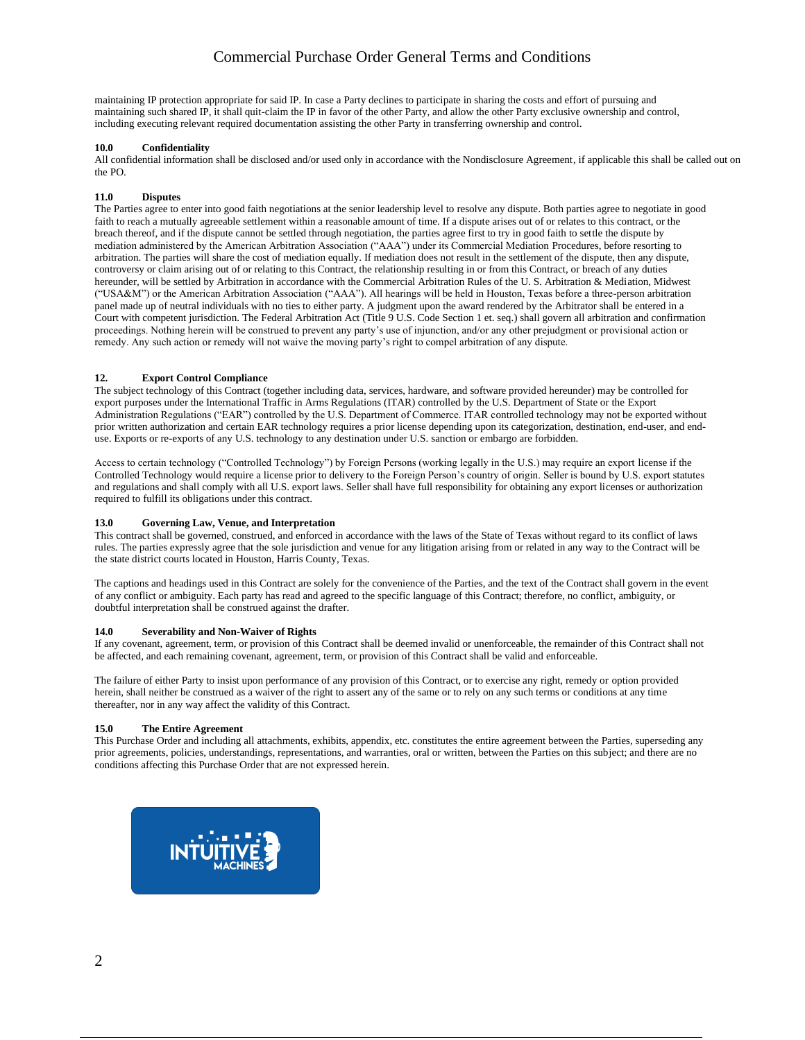maintaining IP protection appropriate for said IP. In case a Party declines to participate in sharing the costs and effort of pursuing and maintaining such shared IP, it shall quit-claim the IP in favor of the other Party, and allow the other Party exclusive ownership and control, including executing relevant required documentation assisting the other Party in transferring ownership and control.

# **10.0 Confidentiality**

All confidential information shall be disclosed and/or used only in accordance with the Nondisclosure Agreement, if applicable this shall be called out on the PO.

# **11.0 Disputes**

The Parties agree to enter into good faith negotiations at the senior leadership level to resolve any dispute. Both parties agree to negotiate in good faith to reach a mutually agreeable settlement within a reasonable amount of time. If a dispute arises out of or relates to this contract, or the breach thereof, and if the dispute cannot be settled through negotiation, the parties agree first to try in good faith to settle the dispute by mediation administered by the American Arbitration Association ("AAA") under its Commercial Mediation Procedures, before resorting to arbitration. The parties will share the cost of mediation equally. If mediation does not result in the settlement of the dispute, then any dispute, controversy or claim arising out of or relating to this Contract, the relationship resulting in or from this Contract, or breach of any duties hereunder, will be settled by Arbitration in accordance with the Commercial Arbitration Rules of the U. S. Arbitration & Mediation, Midwest ("USA&M") or the American Arbitration Association ("AAA"). All hearings will be held in Houston, Texas before a three-person arbitration panel made up of neutral individuals with no ties to either party. A judgment upon the award rendered by the Arbitrator shall be entered in a Court with competent jurisdiction. The Federal Arbitration Act (Title 9 U.S. Code Section 1 et. seq.) shall govern all arbitration and confirmation proceedings. Nothing herein will be construed to prevent any party's use of injunction, and/or any other prejudgment or provisional action or remedy. Any such action or remedy will not waive the moving party's right to compel arbitration of any dispute.

# **12. Export Control Compliance**

The subject technology of this Contract (together including data, services, hardware, and software provided hereunder) may be controlled for export purposes under the International Traffic in Arms Regulations (ITAR) controlled by the U.S. Department of State or the Export Administration Regulations ("EAR") controlled by the U.S. Department of Commerce. ITAR controlled technology may not be exported without prior written authorization and certain EAR technology requires a prior license depending upon its categorization, destination, end-user, and enduse. Exports or re-exports of any U.S. technology to any destination under U.S. sanction or embargo are forbidden.

Access to certain technology ("Controlled Technology") by Foreign Persons (working legally in the U.S.) may require an export license if the Controlled Technology would require a license prior to delivery to the Foreign Person's country of origin. Seller is bound by U.S. export statutes and regulations and shall comply with all U.S. export laws. Seller shall have full responsibility for obtaining any export licenses or authorization required to fulfill its obligations under this contract.

# **13.0 Governing Law, Venue, and Interpretation**

This contract shall be governed, construed, and enforced in accordance with the laws of the State of Texas without regard to its conflict of laws rules. The parties expressly agree that the sole jurisdiction and venue for any litigation arising from or related in any way to the Contract will be the state district courts located in Houston, Harris County, Texas.

The captions and headings used in this Contract are solely for the convenience of the Parties, and the text of the Contract shall govern in the event of any conflict or ambiguity. Each party has read and agreed to the specific language of this Contract; therefore, no conflict, ambiguity, or doubtful interpretation shall be construed against the drafter.

# **14.0 Severability and Non-Waiver of Rights**

If any covenant, agreement, term, or provision of this Contract shall be deemed invalid or unenforceable, the remainder of this Contract shall not be affected, and each remaining covenant, agreement, term, or provision of this Contract shall be valid and enforceable.

The failure of either Party to insist upon performance of any provision of this Contract, or to exercise any right, remedy or option provided herein, shall neither be construed as a waiver of the right to assert any of the same or to rely on any such terms or conditions at any time thereafter, nor in any way affect the validity of this Contract.

# **15.0 The Entire Agreement**

This Purchase Order and including all attachments, exhibits, appendix, etc. constitutes the entire agreement between the Parties, superseding any prior agreements, policies, understandings, representations, and warranties, oral or written, between the Parties on this subject; and there are no conditions affecting this Purchase Order that are not expressed herein.